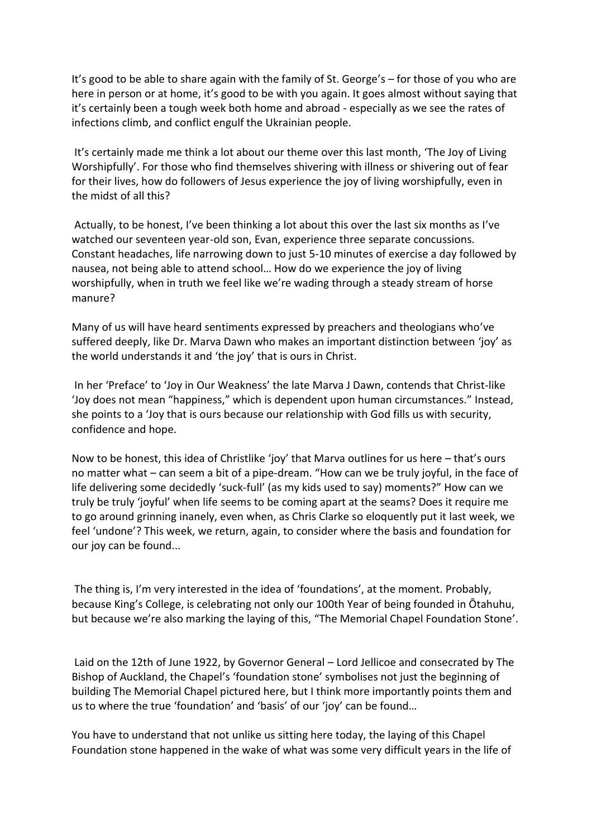It's good to be able to share again with the family of St. George's – for those of you who are here in person or at home, it's good to be with you again. It goes almost without saying that it's certainly been a tough week both home and abroad - especially as we see the rates of infections climb, and conflict engulf the Ukrainian people.

It's certainly made me think a lot about our theme over this last month, 'The Joy of Living Worshipfully'. For those who find themselves shivering with illness or shivering out of fear for their lives, how do followers of Jesus experience the joy of living worshipfully, even in the midst of all this?

 Actually, to be honest, I've been thinking a lot about this over the last six months as I've watched our seventeen year-old son, Evan, experience three separate concussions. Constant headaches, life narrowing down to just 5-10 minutes of exercise a day followed by nausea, not being able to attend school… How do we experience the joy of living worshipfully, when in truth we feel like we're wading through a steady stream of horse manure?

Many of us will have heard sentiments expressed by preachers and theologians who've suffered deeply, like Dr. Marva Dawn who makes an important distinction between 'joy' as the world understands it and 'the joy' that is ours in Christ.

 In her 'Preface' to 'Joy in Our Weakness' the late Marva J Dawn, contends that Christ-like 'Joy does not mean "happiness," which is dependent upon human circumstances." Instead, she points to a 'Joy that is ours because our relationship with God fills us with security, confidence and hope.

Now to be honest, this idea of Christlike 'joy' that Marva outlines for us here – that's ours no matter what – can seem a bit of a pipe-dream. "How can we be truly joyful, in the face of life delivering some decidedly 'suck-full' (as my kids used to say) moments?" How can we truly be truly 'joyful' when life seems to be coming apart at the seams? Does it require me to go around grinning inanely, even when, as Chris Clarke so eloquently put it last week, we feel 'undone'? This week, we return, again, to consider where the basis and foundation for our joy can be found...

 The thing is, I'm very interested in the idea of 'foundations', at the moment. Probably, because King's College, is celebrating not only our 100th Year of being founded in Ōtahuhu, but because we're also marking the laying of this, "The Memorial Chapel Foundation Stone'.

 Laid on the 12th of June 1922, by Governor General – Lord Jellicoe and consecrated by The Bishop of Auckland, the Chapel's 'foundation stone' symbolises not just the beginning of building The Memorial Chapel pictured here, but I think more importantly points them and us to where the true 'foundation' and 'basis' of our 'joy' can be found…

You have to understand that not unlike us sitting here today, the laying of this Chapel Foundation stone happened in the wake of what was some very difficult years in the life of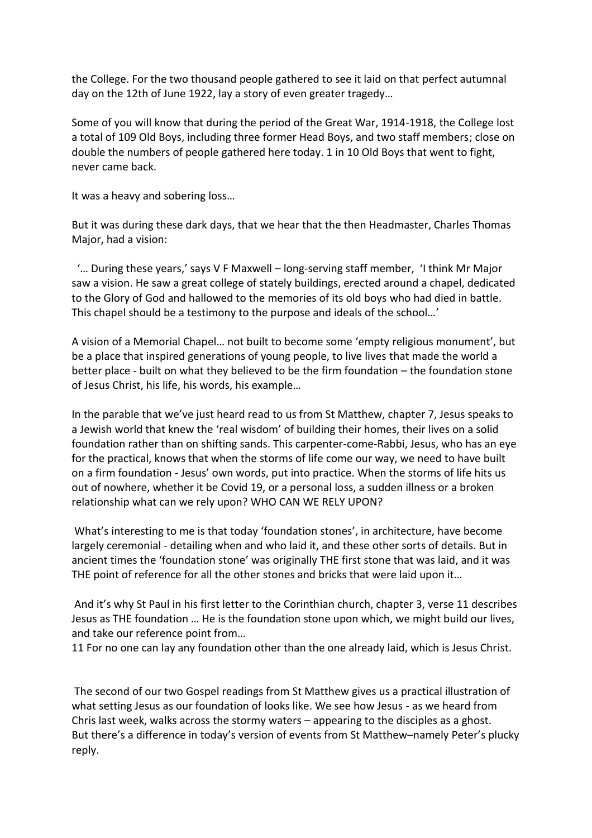the College. For the two thousand people gathered to see it laid on that perfect autumnal day on the 12th of June 1922, lay a story of even greater tragedy…

Some of you will know that during the period of the Great War, 1914-1918, the College lost a total of 109 Old Boys, including three former Head Boys, and two staff members; close on double the numbers of people gathered here today. 1 in 10 Old Boys that went to fight, never came back.

It was a heavy and sobering loss…

But it was during these dark days, that we hear that the then Headmaster, Charles Thomas Major, had a vision:

 '… During these years,' says V F Maxwell – long-serving staff member, 'I think Mr Major saw a vision. He saw a great college of stately buildings, erected around a chapel, dedicated to the Glory of God and hallowed to the memories of its old boys who had died in battle. This chapel should be a testimony to the purpose and ideals of the school…'

A vision of a Memorial Chapel… not built to become some 'empty religious monument', but be a place that inspired generations of young people, to live lives that made the world a better place - built on what they believed to be the firm foundation – the foundation stone of Jesus Christ, his life, his words, his example…

In the parable that we've just heard read to us from St Matthew, chapter 7, Jesus speaks to a Jewish world that knew the 'real wisdom' of building their homes, their lives on a solid foundation rather than on shifting sands. This carpenter-come-Rabbi, Jesus, who has an eye for the practical, knows that when the storms of life come our way, we need to have built on a firm foundation - Jesus' own words, put into practice. When the storms of life hits us out of nowhere, whether it be Covid 19, or a personal loss, a sudden illness or a broken relationship what can we rely upon? WHO CAN WE RELY UPON?

 What's interesting to me is that today 'foundation stones', in architecture, have become largely ceremonial - detailing when and who laid it, and these other sorts of details. But in ancient times the 'foundation stone' was originally THE first stone that was laid, and it was THE point of reference for all the other stones and bricks that were laid upon it…

 And it's why St Paul in his first letter to the Corinthian church, chapter 3, verse 11 describes Jesus as THE foundation … He is the foundation stone upon which, we might build our lives, and take our reference point from…

11 For no one can lay any foundation other than the one already laid, which is Jesus Christ.

 The second of our two Gospel readings from St Matthew gives us a practical illustration of what setting Jesus as our foundation of looks like. We see how Jesus - as we heard from Chris last week, walks across the stormy waters – appearing to the disciples as a ghost. But there's a difference in today's version of events from St Matthew–namely Peter's plucky reply.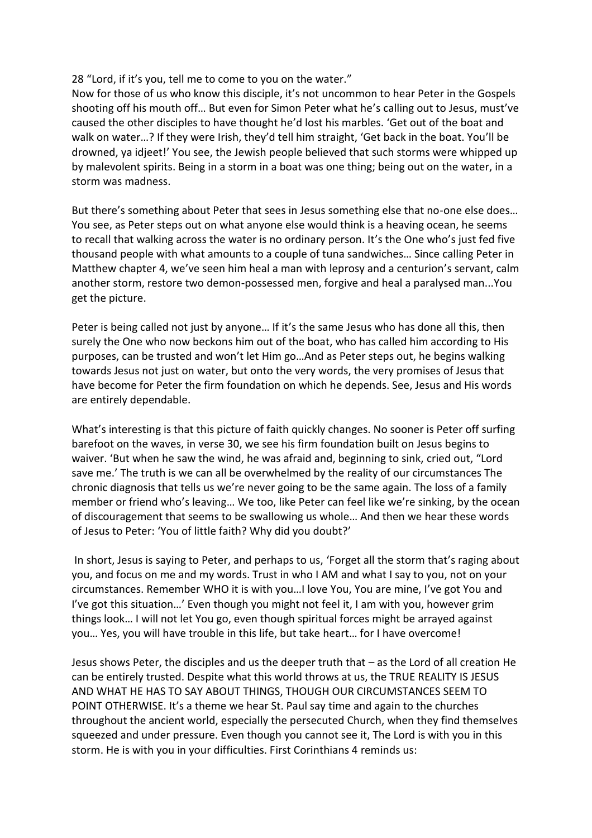## 28 "Lord, if it's you, tell me to come to you on the water."

Now for those of us who know this disciple, it's not uncommon to hear Peter in the Gospels shooting off his mouth off… But even for Simon Peter what he's calling out to Jesus, must've caused the other disciples to have thought he'd lost his marbles. 'Get out of the boat and walk on water…? If they were Irish, they'd tell him straight, 'Get back in the boat. You'll be drowned, ya idjeet!' You see, the Jewish people believed that such storms were whipped up by malevolent spirits. Being in a storm in a boat was one thing; being out on the water, in a storm was madness.

But there's something about Peter that sees in Jesus something else that no-one else does… You see, as Peter steps out on what anyone else would think is a heaving ocean, he seems to recall that walking across the water is no ordinary person. It's the One who's just fed five thousand people with what amounts to a couple of tuna sandwiches… Since calling Peter in Matthew chapter 4, we've seen him heal a man with leprosy and a centurion's servant, calm another storm, restore two demon-possessed men, forgive and heal a paralysed man...You get the picture.

Peter is being called not just by anyone… If it's the same Jesus who has done all this, then surely the One who now beckons him out of the boat, who has called him according to His purposes, can be trusted and won't let Him go…And as Peter steps out, he begins walking towards Jesus not just on water, but onto the very words, the very promises of Jesus that have become for Peter the firm foundation on which he depends. See, Jesus and His words are entirely dependable.

What's interesting is that this picture of faith quickly changes. No sooner is Peter off surfing barefoot on the waves, in verse 30, we see his firm foundation built on Jesus begins to waiver. 'But when he saw the wind, he was afraid and, beginning to sink, cried out, "Lord save me.' The truth is we can all be overwhelmed by the reality of our circumstances The chronic diagnosis that tells us we're never going to be the same again. The loss of a family member or friend who's leaving… We too, like Peter can feel like we're sinking, by the ocean of discouragement that seems to be swallowing us whole… And then we hear these words of Jesus to Peter: 'You of little faith? Why did you doubt?'

 In short, Jesus is saying to Peter, and perhaps to us, 'Forget all the storm that's raging about you, and focus on me and my words. Trust in who I AM and what I say to you, not on your circumstances. Remember WHO it is with you…I love You, You are mine, I've got You and I've got this situation…' Even though you might not feel it, I am with you, however grim things look… I will not let You go, even though spiritual forces might be arrayed against you… Yes, you will have trouble in this life, but take heart… for I have overcome!

Jesus shows Peter, the disciples and us the deeper truth that – as the Lord of all creation He can be entirely trusted. Despite what this world throws at us, the TRUE REALITY IS JESUS AND WHAT HE HAS TO SAY ABOUT THINGS, THOUGH OUR CIRCUMSTANCES SEEM TO POINT OTHERWISE. It's a theme we hear St. Paul say time and again to the churches throughout the ancient world, especially the persecuted Church, when they find themselves squeezed and under pressure. Even though you cannot see it, The Lord is with you in this storm. He is with you in your difficulties. First Corinthians 4 reminds us: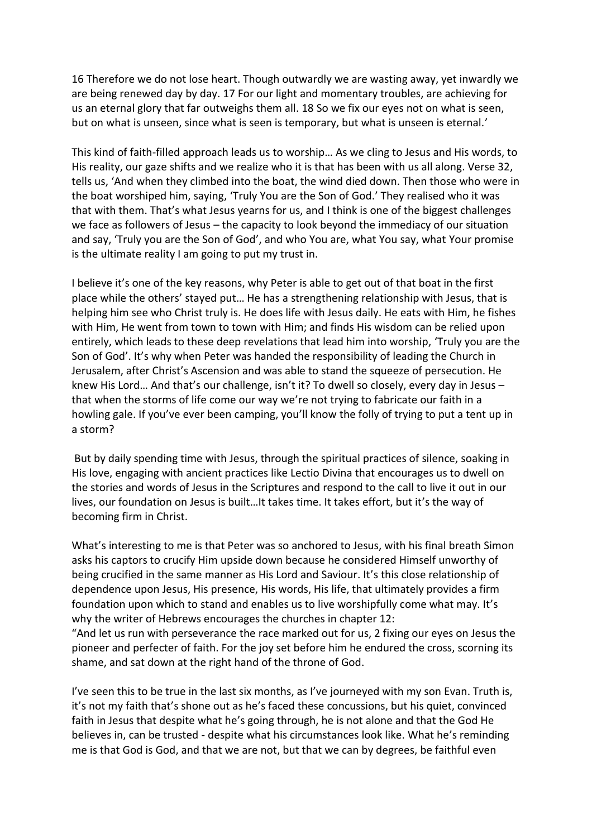16 Therefore we do not lose heart. Though outwardly we are wasting away, yet inwardly we are being renewed day by day. 17 For our light and momentary troubles, are achieving for us an eternal glory that far outweighs them all. 18 So we fix our eyes not on what is seen, but on what is unseen, since what is seen is temporary, but what is unseen is eternal.'

This kind of faith-filled approach leads us to worship… As we cling to Jesus and His words, to His reality, our gaze shifts and we realize who it is that has been with us all along. Verse 32, tells us, 'And when they climbed into the boat, the wind died down. Then those who were in the boat worshiped him, saying, 'Truly You are the Son of God.' They realised who it was that with them. That's what Jesus yearns for us, and I think is one of the biggest challenges we face as followers of Jesus – the capacity to look beyond the immediacy of our situation and say, 'Truly you are the Son of God', and who You are, what You say, what Your promise is the ultimate reality I am going to put my trust in.

I believe it's one of the key reasons, why Peter is able to get out of that boat in the first place while the others' stayed put… He has a strengthening relationship with Jesus, that is helping him see who Christ truly is. He does life with Jesus daily. He eats with Him, he fishes with Him, He went from town to town with Him; and finds His wisdom can be relied upon entirely, which leads to these deep revelations that lead him into worship, 'Truly you are the Son of God'. It's why when Peter was handed the responsibility of leading the Church in Jerusalem, after Christ's Ascension and was able to stand the squeeze of persecution. He knew His Lord... And that's our challenge, isn't it? To dwell so closely, every day in Jesus that when the storms of life come our way we're not trying to fabricate our faith in a howling gale. If you've ever been camping, you'll know the folly of trying to put a tent up in a storm?

 But by daily spending time with Jesus, through the spiritual practices of silence, soaking in His love, engaging with ancient practices like Lectio Divina that encourages us to dwell on the stories and words of Jesus in the Scriptures and respond to the call to live it out in our lives, our foundation on Jesus is built…It takes time. It takes effort, but it's the way of becoming firm in Christ.

What's interesting to me is that Peter was so anchored to Jesus, with his final breath Simon asks his captors to crucify Him upside down because he considered Himself unworthy of being crucified in the same manner as His Lord and Saviour. It's this close relationship of dependence upon Jesus, His presence, His words, His life, that ultimately provides a firm foundation upon which to stand and enables us to live worshipfully come what may. It's why the writer of Hebrews encourages the churches in chapter 12:

"And let us run with perseverance the race marked out for us, 2 fixing our eyes on Jesus the pioneer and perfecter of faith. For the joy set before him he endured the cross, scorning its shame, and sat down at the right hand of the throne of God.

I've seen this to be true in the last six months, as I've journeyed with my son Evan. Truth is, it's not my faith that's shone out as he's faced these concussions, but his quiet, convinced faith in Jesus that despite what he's going through, he is not alone and that the God He believes in, can be trusted - despite what his circumstances look like. What he's reminding me is that God is God, and that we are not, but that we can by degrees, be faithful even